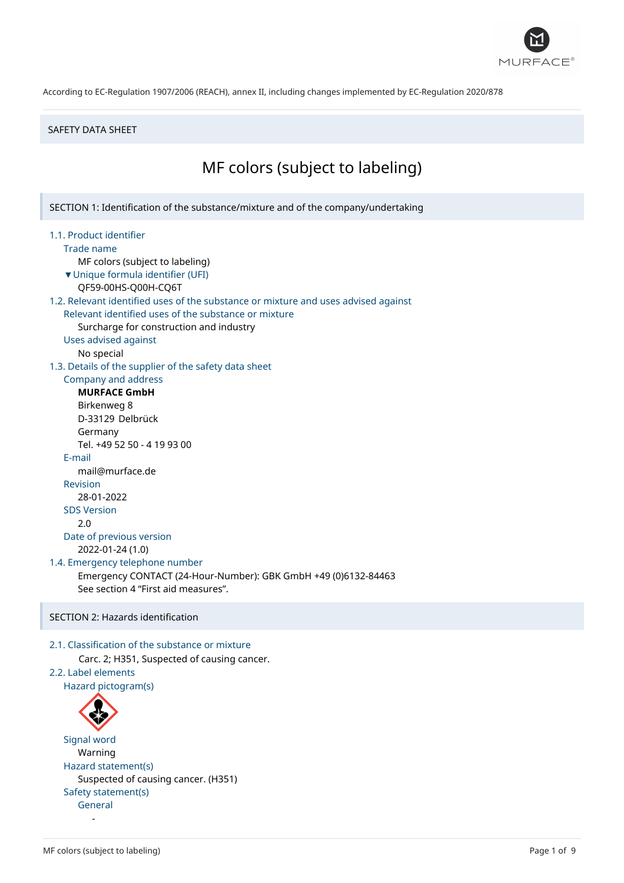

#### SAFETY DATA SHEET

# MF colors (subject to labeling)

SECTION 1: Identification of the substance/mixture and of the company/undertaking 1.1. Product identifier Trade name MF colors (subject to labeling) ▼Unique formula identifier (UFI) QF59-00HS-Q00H-CQ6T 1.2. Relevant identified uses of the substance or mixture and uses advised against Relevant identified uses of the substance or mixture Surcharge for construction and industry Uses advised against No special 1.3. Details of the supplier of the safety data sheet Company and address **MURFACE GmbH** Birkenweg 8 D-33129 Delbrück Germany Tel. +49 52 50 - 4 19 93 00 E-mail mail@murface.de Revision 28-01-2022 SDS Version 2.0 Date of previous version 2022-01-24 (1.0) 1.4. Emergency telephone number Emergency CONTACT (24-Hour-Number): GBK GmbH +49 (0)6132-84463 See section 4 "First aid measures". SECTION 2: Hazards identification 2.1. Classification of the substance or mixture Carc. 2; H351, Suspected of causing cancer.

2.2. Label elements Hazard pictogram(s)



Signal word Warning Hazard statement(s) Suspected of causing cancer. (H351) Safety statement(s) General -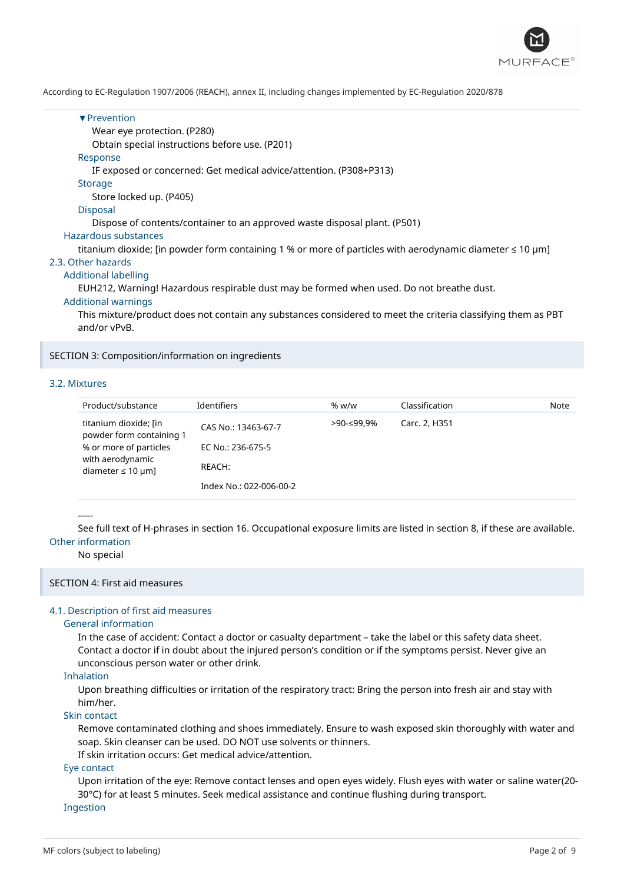

#### ▼Prevention

Wear eye protection. (P280)

Obtain special instructions before use. (P201)

Response

IF exposed or concerned: Get medical advice/attention. (P308+P313)

## **Storage**

Store locked up. (P405)

## Disposal

Dispose of contents/container to an approved waste disposal plant. (P501)

#### Hazardous substances

titanium dioxide; [in powder form containing 1 % or more of particles with aerodynamic diameter ≤ 10 μm]

## 2.3. Other hazards

## Additional labelling

EUH212, Warning! Hazardous respirable dust may be formed when used. Do not breathe dust.

#### Additional warnings

This mixture/product does not contain any substances considered to meet the criteria classifying them as PBT and/or vPvB.

## SECTION 3: Composition/information on ingredients

#### 3.2. Mixtures

| Product/substance                                 | Identifiers             | % w/w      | Classification | Note |
|---------------------------------------------------|-------------------------|------------|----------------|------|
| titanium dioxide; [in<br>powder form containing 1 | CAS No.: 13463-67-7     | >90-≤99.9% | Carc. 2, H351  |      |
| % or more of particles                            | EC No.: 236-675-5       |            |                |      |
| with aerodynamic<br>diameter $\leq 10 \mu m$ ]    | REACH:                  |            |                |      |
|                                                   | Index No.: 022-006-00-2 |            |                |      |

#### -----

See full text of H-phrases in section 16. Occupational exposure limits are listed in section 8, if these are available. Other information

No special

#### SECTION 4: First aid measures

## 4.1. Description of first aid measures

### General information

In the case of accident: Contact a doctor or casualty department – take the label or this safety data sheet. Contact a doctor if in doubt about the injured person's condition or if the symptoms persist. Never give an unconscious person water or other drink.

#### Inhalation

Upon breathing difficulties or irritation of the respiratory tract: Bring the person into fresh air and stay with him/her.

## Skin contact

Remove contaminated clothing and shoes immediately. Ensure to wash exposed skin thoroughly with water and soap. Skin cleanser can be used. DO NOT use solvents or thinners.

If skin irritation occurs: Get medical advice/attention.

#### Eye contact

Upon irritation of the eye: Remove contact lenses and open eyes widely. Flush eyes with water or saline water(20- 30°C) for at least 5 minutes. Seek medical assistance and continue flushing during transport.

Ingestion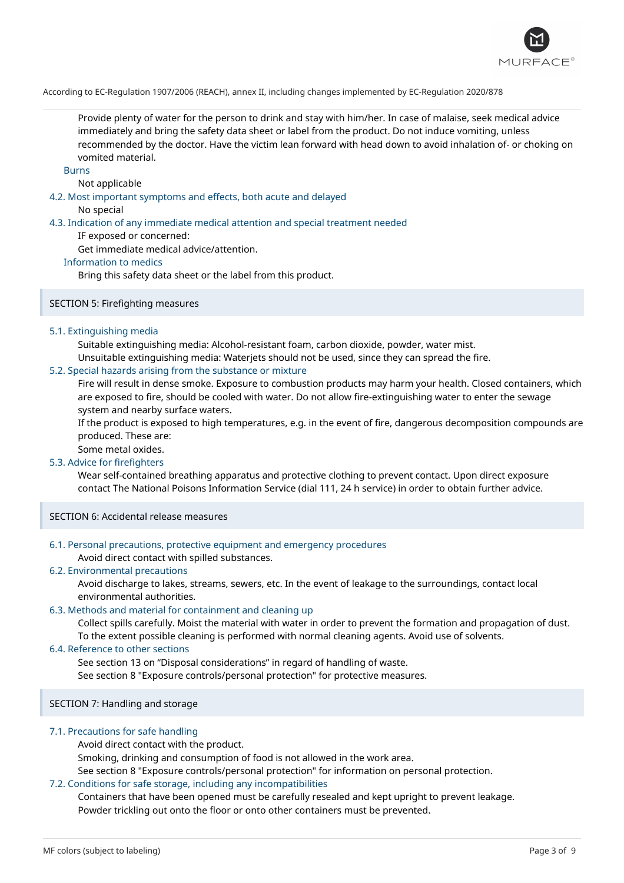

Provide plenty of water for the person to drink and stay with him/her. In case of malaise, seek medical advice immediately and bring the safety data sheet or label from the product. Do not induce vomiting, unless recommended by the doctor. Have the victim lean forward with head down to avoid inhalation of- or choking on vomited material.

## Burns

Not applicable

#### 4.2. Most important symptoms and effects, both acute and delayed

No special

#### 4.3. Indication of any immediate medical attention and special treatment needed

IF exposed or concerned:

Get immediate medical advice/attention.

#### Information to medics

Bring this safety data sheet or the label from this product.

## SECTION 5: Firefighting measures

#### 5.1. Extinguishing media

Suitable extinguishing media: Alcohol-resistant foam, carbon dioxide, powder, water mist. Unsuitable extinguishing media: Waterjets should not be used, since they can spread the fire.

#### 5.2. Special hazards arising from the substance or mixture

Fire will result in dense smoke. Exposure to combustion products may harm your health. Closed containers, which are exposed to fire, should be cooled with water. Do not allow fire-extinguishing water to enter the sewage system and nearby surface waters.

If the product is exposed to high temperatures, e.g. in the event of fire, dangerous decomposition compounds are produced. These are:

Some metal oxides.

#### 5.3. Advice for firefighters

Wear self-contained breathing apparatus and protective clothing to prevent contact. Upon direct exposure contact The National Poisons Information Service (dial 111, 24 h service) in order to obtain further advice.

## SECTION 6: Accidental release measures

## 6.1. Personal precautions, protective equipment and emergency procedures

Avoid direct contact with spilled substances.

#### 6.2. Environmental precautions

Avoid discharge to lakes, streams, sewers, etc. In the event of leakage to the surroundings, contact local environmental authorities.

#### 6.3. Methods and material for containment and cleaning up

Collect spills carefully. Moist the material with water in order to prevent the formation and propagation of dust.

To the extent possible cleaning is performed with normal cleaning agents. Avoid use of solvents.

## 6.4. Reference to other sections

See section 13 on "Disposal considerations" in regard of handling of waste. See section 8 "Exposure controls/personal protection" for protective measures.

## SECTION 7: Handling and storage

#### 7.1. Precautions for safe handling

Avoid direct contact with the product.

Smoking, drinking and consumption of food is not allowed in the work area.

See section 8 "Exposure controls/personal protection" for information on personal protection.

## 7.2. Conditions for safe storage, including any incompatibilities

Containers that have been opened must be carefully resealed and kept upright to prevent leakage. Powder trickling out onto the floor or onto other containers must be prevented.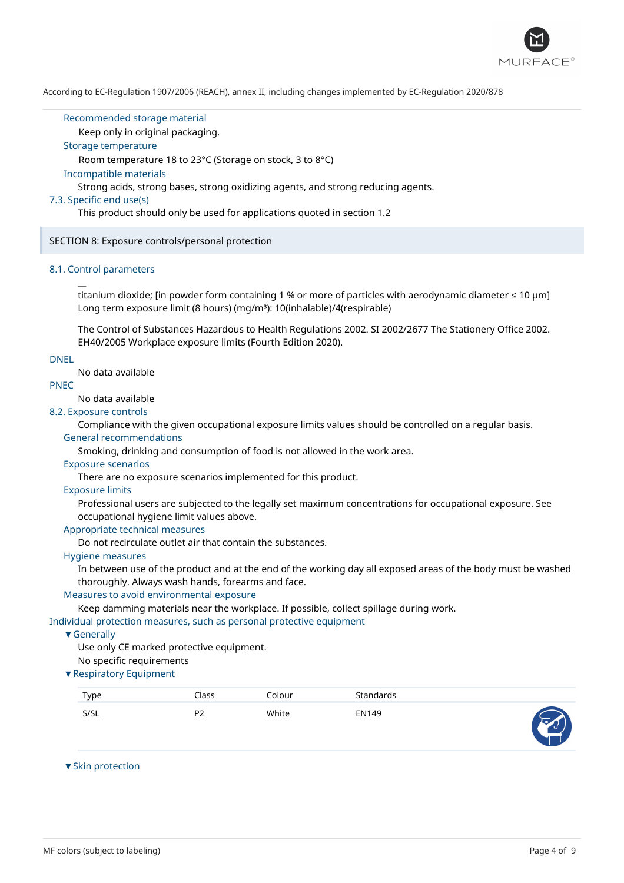

#### Recommended storage material

Keep only in original packaging.

## Storage temperature

Room temperature 18 to 23°C (Storage on stock, 3 to 8°C)

#### Incompatible materials

Strong acids, strong bases, strong oxidizing agents, and strong reducing agents.

## 7.3. Specific end use(s)

This product should only be used for applications quoted in section 1.2

## SECTION 8: Exposure controls/personal protection

## 8.1. Control parameters

 $\overline{a}$ 

titanium dioxide; [in powder form containing 1 % or more of particles with aerodynamic diameter ≤ 10 μm] Long term exposure limit (8 hours) (mg/m<sup>3</sup>): 10(inhalable)/4(respirable)

The Control of Substances Hazardous to Health Regulations 2002. SI 2002/2677 The Stationery Office 2002. EH40/2005 Workplace exposure limits (Fourth Edition 2020).

#### DNEL

No data available

## PNEC

No data available

#### 8.2. Exposure controls

Compliance with the given occupational exposure limits values should be controlled on a regular basis. General recommendations

Smoking, drinking and consumption of food is not allowed in the work area.

## Exposure scenarios

There are no exposure scenarios implemented for this product.

## Exposure limits

Professional users are subjected to the legally set maximum concentrations for occupational exposure. See occupational hygiene limit values above.

#### Appropriate technical measures

Do not recirculate outlet air that contain the substances.

#### Hygiene measures

In between use of the product and at the end of the working day all exposed areas of the body must be washed thoroughly. Always wash hands, forearms and face.

## Measures to avoid environmental exposure

Keep damming materials near the workplace. If possible, collect spillage during work.

## Individual protection measures, such as personal protective equipment

▼Generally

Use only CE marked protective equipment. No specific requirements

#### ▼Respiratory Equipment

| Type | Iass | Colour | Standards |                             |
|------|------|--------|-----------|-----------------------------|
| S/SL | ״מ   | White  | EN149     | $\mathcal{L} = \mathcal{L}$ |

## ▼Skin protection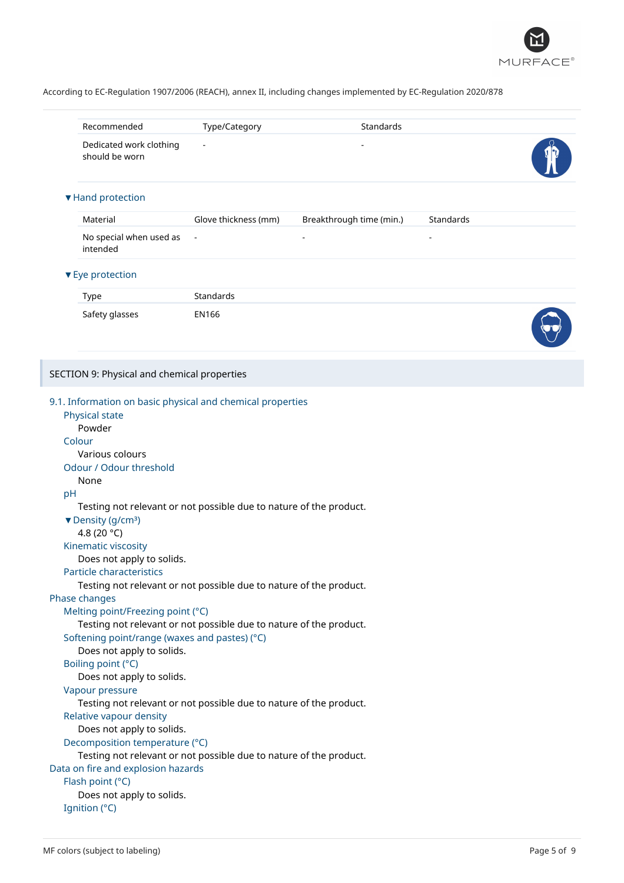

|    | Recommended                                                                                                                                                                                                                                                                                                                                                                                                                                                                                                                                                                                               | Type/Category        | Standards                |           |  |
|----|-----------------------------------------------------------------------------------------------------------------------------------------------------------------------------------------------------------------------------------------------------------------------------------------------------------------------------------------------------------------------------------------------------------------------------------------------------------------------------------------------------------------------------------------------------------------------------------------------------------|----------------------|--------------------------|-----------|--|
|    | Dedicated work clothing<br>should be worn                                                                                                                                                                                                                                                                                                                                                                                                                                                                                                                                                                 |                      |                          |           |  |
|    | ▼ Hand protection                                                                                                                                                                                                                                                                                                                                                                                                                                                                                                                                                                                         |                      |                          |           |  |
|    | Material                                                                                                                                                                                                                                                                                                                                                                                                                                                                                                                                                                                                  | Glove thickness (mm) | Breakthrough time (min.) | Standards |  |
|    | No special when used as<br>intended                                                                                                                                                                                                                                                                                                                                                                                                                                                                                                                                                                       |                      |                          |           |  |
|    | ▼ Eye protection                                                                                                                                                                                                                                                                                                                                                                                                                                                                                                                                                                                          |                      |                          |           |  |
|    | Type                                                                                                                                                                                                                                                                                                                                                                                                                                                                                                                                                                                                      | Standards            |                          |           |  |
|    | Safety glasses                                                                                                                                                                                                                                                                                                                                                                                                                                                                                                                                                                                            | <b>EN166</b>         |                          |           |  |
|    | SECTION 9: Physical and chemical properties                                                                                                                                                                                                                                                                                                                                                                                                                                                                                                                                                               |                      |                          |           |  |
| pH | Physical state<br>Powder<br>Colour<br>Various colours<br>Odour / Odour threshold<br>None<br>Testing not relevant or not possible due to nature of the product.<br>▼ Density (g/cm <sup>3</sup> )<br>4.8 (20 °C)<br>Kinematic viscosity<br>Does not apply to solids.<br>Particle characteristics<br>Testing not relevant or not possible due to nature of the product.<br>Phase changes                                                                                                                                                                                                                    |                      |                          |           |  |
|    | Melting point/Freezing point (°C)<br>Testing not relevant or not possible due to nature of the product.<br>Softening point/range (waxes and pastes) (°C)<br>Does not apply to solids.<br>Boiling point (°C)<br>Does not apply to solids.<br>Vapour pressure<br>Testing not relevant or not possible due to nature of the product.<br>Relative vapour density<br>Does not apply to solids.<br>Decomposition temperature (°C)<br>Testing not relevant or not possible due to nature of the product.<br>Data on fire and explosion hazards<br>Flash point (°C)<br>Does not apply to solids.<br>Ignition (°C) |                      |                          |           |  |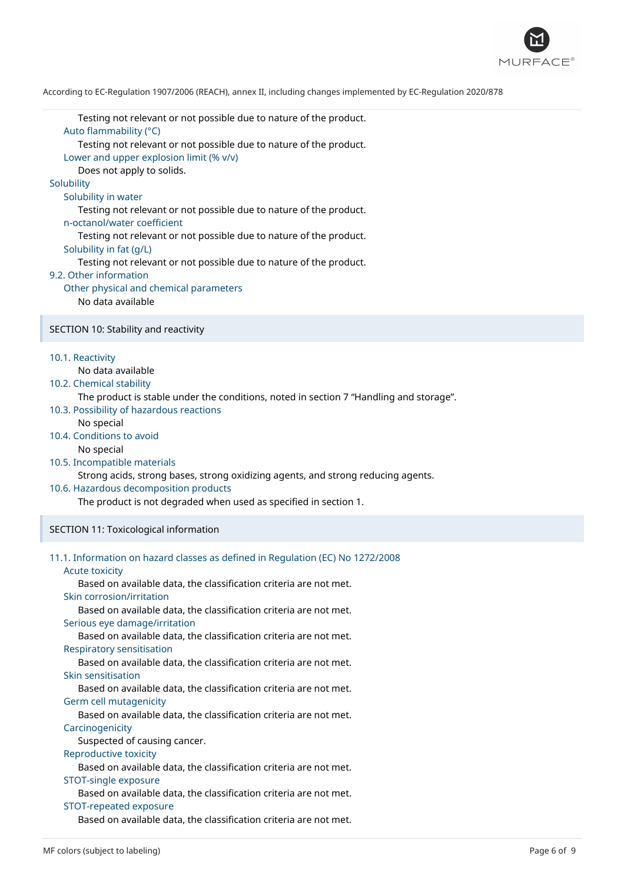

Testing not relevant or not possible due to nature of the product. Auto flammability (°C) Testing not relevant or not possible due to nature of the product. Lower and upper explosion limit (% v/v) Does not apply to solids. **Solubility** Solubility in water Testing not relevant or not possible due to nature of the product. n-octanol/water coefficient Testing not relevant or not possible due to nature of the product. Solubility in fat (g/L) Testing not relevant or not possible due to nature of the product. 9.2. Other information Other physical and chemical parameters No data available SECTION 10: Stability and reactivity 10.1. Reactivity No data available 10.2. Chemical stability The product is stable under the conditions, noted in section 7 "Handling and storage". 10.3. Possibility of hazardous reactions No special 10.4. Conditions to avoid No special

10.5. Incompatible materials

Strong acids, strong bases, strong oxidizing agents, and strong reducing agents.

#### 10.6. Hazardous decomposition products

The product is not degraded when used as specified in section 1.

SECTION 11: Toxicological information

#### 11.1. Information on hazard classes as defined in Regulation (EC) No 1272/2008 Acute toxicity

Based on available data, the classification criteria are not met.

#### Skin corrosion/irritation

Based on available data, the classification criteria are not met. Serious eye damage/irritation

Based on available data, the classification criteria are not met. Respiratory sensitisation

Based on available data, the classification criteria are not met. Skin sensitisation

Based on available data, the classification criteria are not met. Germ cell mutagenicity

Based on available data, the classification criteria are not met. **Carcinogenicity** 

Suspected of causing cancer.

#### Reproductive toxicity

Based on available data, the classification criteria are not met.

## STOT-single exposure

Based on available data, the classification criteria are not met.

#### STOT-repeated exposure

Based on available data, the classification criteria are not met.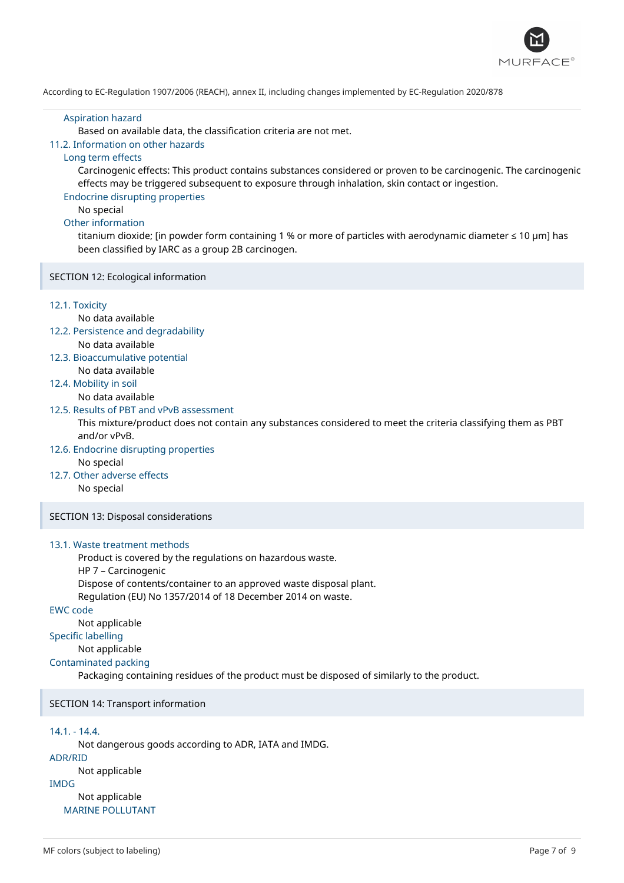

#### Aspiration hazard

Based on available data, the classification criteria are not met.

## 11.2. Information on other hazards

## Long term effects

Carcinogenic effects: This product contains substances considered or proven to be carcinogenic. The carcinogenic effects may be triggered subsequent to exposure through inhalation, skin contact or ingestion.

## Endocrine disrupting properties

No special

#### Other information

titanium dioxide; [in powder form containing 1 % or more of particles with aerodynamic diameter ≤ 10 μm] has been classified by IARC as a group 2B carcinogen.

#### SECTION 12: Ecological information

#### 12.1. Toxicity

## No data available

12.2. Persistence and degradability

- No data available
- 12.3. Bioaccumulative potential No data available

## 12.4. Mobility in soil

No data available

## 12.5. Results of PBT and vPvB assessment

This mixture/product does not contain any substances considered to meet the criteria classifying them as PBT and/or vPvB.

- 12.6. Endocrine disrupting properties No special
- 12.7. Other adverse effects

No special

## SECTION 13: Disposal considerations

## 13.1. Waste treatment methods

Product is covered by the regulations on hazardous waste. HP 7 – Carcinogenic Dispose of contents/container to an approved waste disposal plant. Regulation (EU) No 1357/2014 of 18 December 2014 on waste.

#### EWC code

Not applicable

## Specific labelling

Not applicable

#### Contaminated packing

Packaging containing residues of the product must be disposed of similarly to the product.

#### SECTION 14: Transport information

## 14.1. - 14.4.

Not dangerous goods according to ADR, IATA and IMDG. ADR/RID Not applicable IMDG Not applicable

MARINE POLLUTANT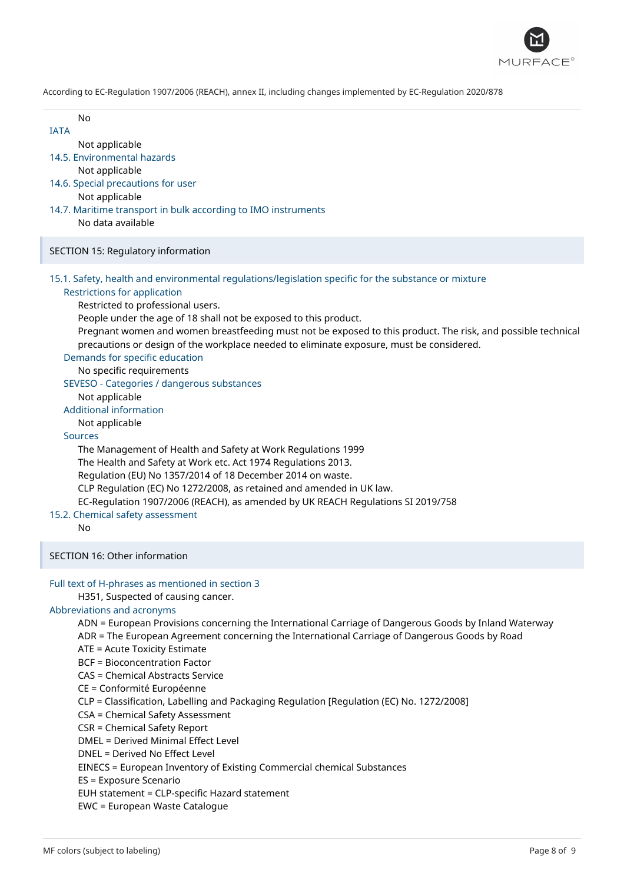

- IATA
	- Not applicable
- 14.5. Environmental hazards
	- Not applicable
- 14.6. Special precautions for user
	- Not applicable
- 14.7. Maritime transport in bulk according to IMO instruments No data available
	-

## SECTION 15: Regulatory information

15.1. Safety, health and environmental regulations/legislation specific for the substance or mixture

## Restrictions for application

Restricted to professional users.

People under the age of 18 shall not be exposed to this product.

Pregnant women and women breastfeeding must not be exposed to this product. The risk, and possible technical precautions or design of the workplace needed to eliminate exposure, must be considered.

## Demands for specific education

No specific requirements

SEVESO - Categories / dangerous substances

Not applicable

## Additional information

Not applicable

### Sources

The Management of Health and Safety at Work Regulations 1999 The Health and Safety at Work etc. Act 1974 Regulations 2013. Regulation (EU) No 1357/2014 of 18 December 2014 on waste. CLP Regulation (EC) No 1272/2008, as retained and amended in UK law. EC-Regulation 1907/2006 (REACH), as amended by UK REACH Regulations SI 2019/758

## 15.2. Chemical safety assessment

No

SECTION 16: Other information

## Full text of H-phrases as mentioned in section 3

H351, Suspected of causing cancer.

## Abbreviations and acronyms

ADN = European Provisions concerning the International Carriage of Dangerous Goods by Inland Waterway ADR = The European Agreement concerning the International Carriage of Dangerous Goods by Road ATE = Acute Toxicity Estimate BCF = Bioconcentration Factor CAS = Chemical Abstracts Service CE = Conformité Européenne CLP = Classification, Labelling and Packaging Regulation [Regulation (EC) No. 1272/2008] CSA = Chemical Safety Assessment CSR = Chemical Safety Report DMEL = Derived Minimal Effect Level DNEL = Derived No Effect Level EINECS = European Inventory of Existing Commercial chemical Substances ES = Exposure Scenario EUH statement = CLP-specific Hazard statement EWC = European Waste Catalogue